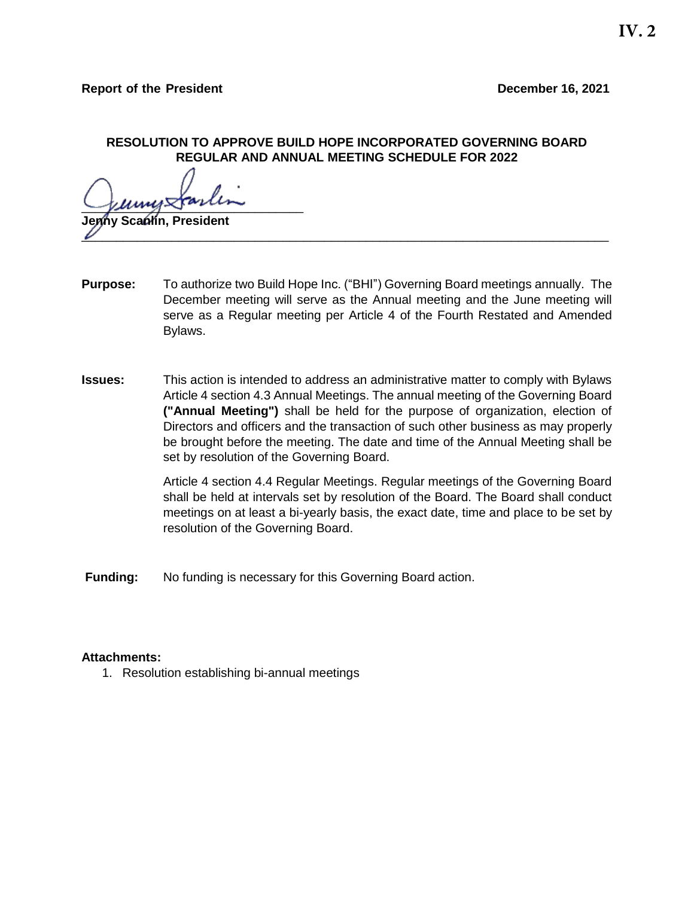## **RESOLUTION TO APPROVE BUILD HOPE INCORPORATED GOVERNING BOARD REGULAR AND ANNUAL MEETING SCHEDULE FOR 2022**

 $\sqrt{\mu m}$ 

**Jenny Scanlin, President**   $\overline{\nu}$  , and the contract of the contract of the contract of the contract of the contract of the contract of the contract of the contract of the contract of the contract of the contract of the contract of the contract o

- **Purpose:** To authorize two Build Hope Inc. ("BHI") Governing Board meetings annually. The December meeting will serve as the Annual meeting and the June meeting will serve as a Regular meeting per Article 4 of the Fourth Restated and Amended Bylaws.
- **Issues:** This action is intended to address an administrative matter to comply with Bylaws Article 4 section 4.3 Annual Meetings. The annual meeting of the Governing Board **("Annual Meeting")** shall be held for the purpose of organization, election of Directors and officers and the transaction of such other business as may properly be brought before the meeting. The date and time of the Annual Meeting shall be set by resolution of the Governing Board.

Article 4 section 4.4 Regular Meetings. Regular meetings of the Governing Board shall be held at intervals set by resolution of the Board. The Board shall conduct meetings on at least a bi-yearly basis, the exact date, time and place to be set by resolution of the Governing Board.

**Funding:** No funding is necessary for this Governing Board action.

## **Attachments:**

1. Resolution establishing bi-annual meetings